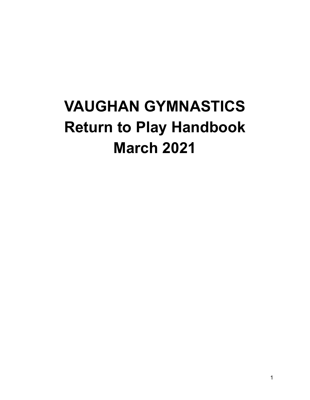# **VAUGHAN GYMNASTICS Return to Play Handbook March 2021**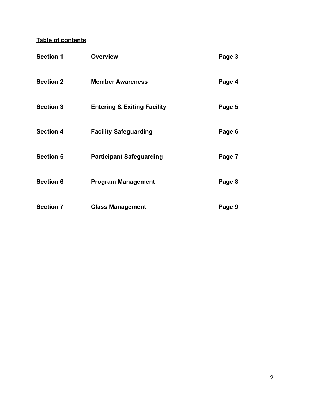## **Table of contents**

| <b>Section 1</b> | <b>Overview</b>                        | Page 3 |
|------------------|----------------------------------------|--------|
| <b>Section 2</b> | <b>Member Awareness</b>                | Page 4 |
| <b>Section 3</b> | <b>Entering &amp; Exiting Facility</b> | Page 5 |
| <b>Section 4</b> | <b>Facility Safeguarding</b>           | Page 6 |
| <b>Section 5</b> | <b>Participant Safeguarding</b>        | Page 7 |
| <b>Section 6</b> | <b>Program Management</b>              | Page 8 |
| <b>Section 7</b> | <b>Class Management</b>                | Page 9 |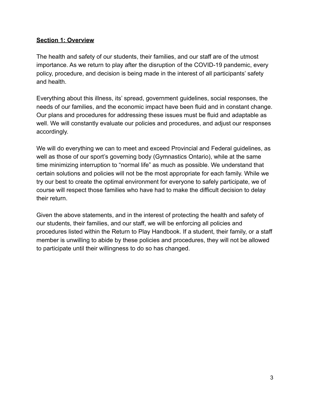#### **Section 1: Overview**

The health and safety of our students, their families, and our staff are of the utmost importance. As we return to play after the disruption of the COVID-19 pandemic, every policy, procedure, and decision is being made in the interest of all participants' safety and health.

Everything about this illness, its' spread, government guidelines, social responses, the needs of our families, and the economic impact have been fluid and in constant change. Our plans and procedures for addressing these issues must be fluid and adaptable as well. We will constantly evaluate our policies and procedures, and adjust our responses accordingly.

We will do everything we can to meet and exceed Provincial and Federal guidelines, as well as those of our sport's governing body (Gymnastics Ontario), while at the same time minimizing interruption to "normal life" as much as possible. We understand that certain solutions and policies will not be the most appropriate for each family. While we try our best to create the optimal environment for everyone to safely participate, we of course will respect those families who have had to make the difficult decision to delay their return.

Given the above statements, and in the interest of protecting the health and safety of our students, their families, and our staff, we will be enforcing all policies and procedures listed within the Return to Play Handbook. If a student, their family, or a staff member is unwilling to abide by these policies and procedures, they will not be allowed to participate until their willingness to do so has changed.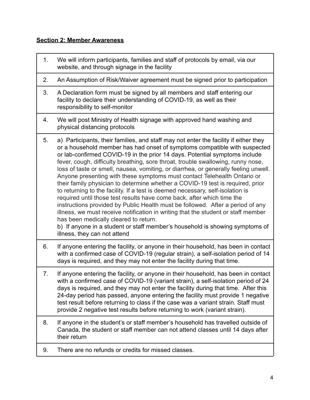#### **Section 2: Member Awareness**

- 1. We will inform participants, families and staff of protocols by email, via our website, and through signage in the facility
- 2. An Assumption of Risk/Waiver agreement must be signed prior to participation
- 3. A Declaration form must be signed by all members and staff entering our facility to declare their understanding of COVID-19, as well as their responsibility to self-monitor
- 4. We will post Ministry of Health signage with approved hand washing and physical distancing protocols
- 5. a) Participants, their families, and staff may not enter the facility if either they or a household member has had onset of symptoms compatible with suspected or lab-confirmed COVID-19 in the prior 14 days. Potential symptoms include fever, cough, difficulty breathing, sore throat, trouble swallowing, runny nose, loss of taste or smell, nausea, vomiting, or diarrhea, or generally feeling unwell. Anyone presenting with these symptoms must contact Telehealth Ontario or their family physician to determine whether a COVID-19 test is required, prior to returning to the facility. If a test is deemed necessary, self-isolation is required until those test results have come back, after which time the instructions provided by Public Health must be followed. After a period of any illness, we must receive notification in writing that the student or staff member has been medically cleared to return.

b) If anyone in a student or staff member's household is showing symptoms of illness, they can not attend

- 6. If anyone entering the facility, or anyone in their household, has been in contact with a confirmed case of COVID-19 (regular strain), a self-isolation period of 14 days is required, and they may not enter the facility during that time.
- 7. If anyone entering the facility, or anyone in their household, has been in contact with a confirmed case of COVID-19 (variant strain), a self-isolation period of 24 days is required, and they may not enter the facility during that time. After this 24-day period has passed, anyone entering the facility must provide 1 negative test result before returning to class if the case was a variant strain. Staff must provide 2 negative test results before returning to work (variant strain).
- 8. If anyone in the student's or staff member's household has travelled outside of Canada, the student or staff member can not attend classes until 14 days after their return
- 9. There are no refunds or credits for missed classes.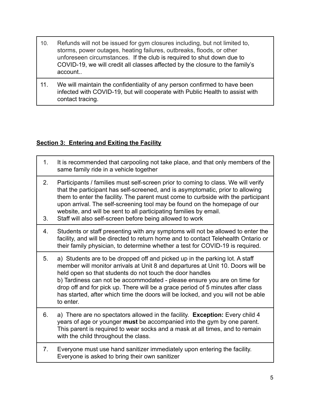- 10. Refunds will not be issued for gym closures including, but not limited to, storms, power outages, heating failures, outbreaks, floods, or other unforeseen circumstances. If the club is required to shut down due to COVID-19, we will credit all classes affected by the closure to the family's account..
- 11. We will maintain the confidentiality of any person confirmed to have been infected with COVID-19, but will cooperate with Public Health to assist with contact tracing.

#### **Section 3: Entering and Exiting the Facility**

1. It is recommended that carpooling not take place, and that only members of the same family ride in a vehicle together 2. Participants / families must self-screen prior to coming to class. We will verify that the participant has self-screened, and is asymptomatic, prior to allowing them to enter the facility. The parent must come to curbside with the participant upon arrival. The self-screening tool may be found on the homepage of our website, and will be sent to all participating families by email. 3. Staff will also self-screen before being allowed to work 4. Students or staff presenting with any symptoms will not be allowed to enter the facility, and will be directed to return home and to contact Telehealth Ontario or their family physician, to determine whether a test for COVID-19 is required. 5. a) Students are to be dropped off and picked up in the parking lot. A staff member will monitor arrivals at Unit 8 and departures at Unit 10. Doors will be held open so that students do not touch the door handles b) Tardiness can not be accommodated - please ensure you are on time for drop off and for pick up. There will be a grace period of 5 minutes after class has started, after which time the doors will be locked, and you will not be able to enter. 6. a) There are no spectators allowed in the facility. **Exception:** Every child 4 years of age or younger **must** be accompanied into the gym by one parent. This parent is required to wear socks and a mask at all times, and to remain with the child throughout the class. 7. Everyone must use hand sanitizer immediately upon entering the facility. Everyone is asked to bring their own sanitizer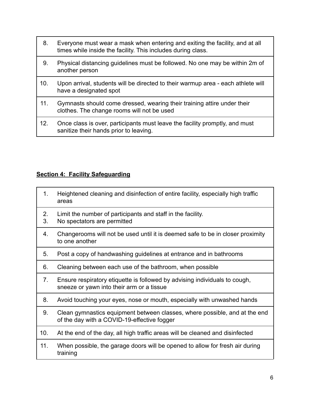- 8. Everyone must wear a mask when entering and exiting the facility, and at all times while inside the facility. This includes during class.
- 9. Physical distancing guidelines must be followed. No one may be within 2m of another person
- 10. Upon arrival, students will be directed to their warmup area each athlete will have a designated spot
- 11. Gymnasts should come dressed, wearing their training attire under their clothes. The change rooms will not be used
- 12. Once class is over, participants must leave the facility promptly, and must sanitize their hands prior to leaving.

#### **Section 4: Facility Safeguarding**

| 1.       | Heightened cleaning and disinfection of entire facility, especially high traffic<br>areas                                 |
|----------|---------------------------------------------------------------------------------------------------------------------------|
| 2.<br>3. | Limit the number of participants and staff in the facility.<br>No spectators are permitted                                |
| 4.       | Changerooms will not be used until it is deemed safe to be in closer proximity<br>to one another                          |
| 5.       | Post a copy of handwashing guidelines at entrance and in bathrooms                                                        |
| 6.       | Cleaning between each use of the bathroom, when possible                                                                  |
| 7.       | Ensure respiratory etiquette is followed by advising individuals to cough,<br>sneeze or yawn into their arm or a tissue   |
| 8.       | Avoid touching your eyes, nose or mouth, especially with unwashed hands                                                   |
| 9.       | Clean gymnastics equipment between classes, where possible, and at the end<br>of the day with a COVID-19-effective fogger |
| 10.      | At the end of the day, all high traffic areas will be cleaned and disinfected                                             |
| 11.      | When possible, the garage doors will be opened to allow for fresh air during<br>training                                  |
|          |                                                                                                                           |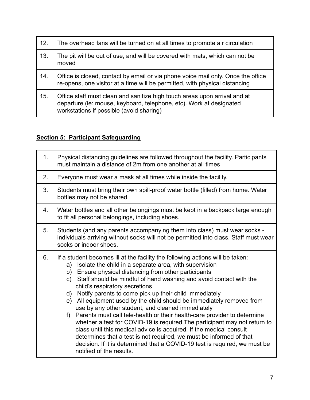- 12. The overhead fans will be turned on at all times to promote air circulation
- 13. The pit will be out of use, and will be covered with mats, which can not be moved
- 14. Office is closed, contact by email or via phone voice mail only. Once the office re-opens, one visitor at a time will be permitted, with physical distancing
- 15. Office staff must clean and sanitize high touch areas upon arrival and at departure (ie: mouse, keyboard, telephone, etc). Work at designated workstations if possible (avoid sharing)

### **Section 5: Participant Safeguarding**

| 1 <sub>1</sub> | Physical distancing guidelines are followed throughout the facility. Participants<br>must maintain a distance of 2m from one another at all times                                                                                                                                                                                                                                                                                                                                                                                                                                                                                                                                                                                                                                                                                                                                                                                             |
|----------------|-----------------------------------------------------------------------------------------------------------------------------------------------------------------------------------------------------------------------------------------------------------------------------------------------------------------------------------------------------------------------------------------------------------------------------------------------------------------------------------------------------------------------------------------------------------------------------------------------------------------------------------------------------------------------------------------------------------------------------------------------------------------------------------------------------------------------------------------------------------------------------------------------------------------------------------------------|
| 2.             | Everyone must wear a mask at all times while inside the facility.                                                                                                                                                                                                                                                                                                                                                                                                                                                                                                                                                                                                                                                                                                                                                                                                                                                                             |
| 3.             | Students must bring their own spill-proof water bottle (filled) from home. Water<br>bottles may not be shared                                                                                                                                                                                                                                                                                                                                                                                                                                                                                                                                                                                                                                                                                                                                                                                                                                 |
| 4.             | Water bottles and all other belongings must be kept in a backpack large enough<br>to fit all personal belongings, including shoes.                                                                                                                                                                                                                                                                                                                                                                                                                                                                                                                                                                                                                                                                                                                                                                                                            |
| 5.             | Students (and any parents accompanying them into class) must wear socks -<br>individuals arriving without socks will not be permitted into class. Staff must wear<br>socks or indoor shoes.                                                                                                                                                                                                                                                                                                                                                                                                                                                                                                                                                                                                                                                                                                                                                   |
| 6.             | If a student becomes ill at the facility the following actions will be taken:<br>Isolate the child in a separate area, with supervision<br>a)<br>Ensure physical distancing from other participants<br>b)<br>Staff should be mindful of hand washing and avoid contact with the<br>C)<br>child's respiratory secretions<br>Notify parents to come pick up their child immediately<br>d)<br>e) All equipment used by the child should be immediately removed from<br>use by any other student, and cleaned immediately<br>Parents must call tele-health or their health-care provider to determine<br>f)<br>whether a test for COVID-19 is required. The participant may not return to<br>class until this medical advice is acquired. If the medical consult<br>determines that a test is not required, we must be informed of that<br>decision. If it is determined that a COVID-19 test is required, we must be<br>notified of the results. |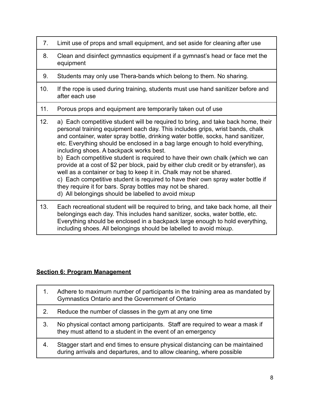- 7. Limit use of props and small equipment, and set aside for cleaning after use
- 8. Clean and disinfect gymnastics equipment if a gymnast's head or face met the equipment
- 9. Students may only use Thera-bands which belong to them. No sharing.
- 10. If the rope is used during training, students must use hand sanitizer before and after each use
- 11. Porous props and equipment are temporarily taken out of use
- 12. a) Each competitive student will be required to bring, and take back home, their personal training equipment each day. This includes grips, wrist bands, chalk and container, water spray bottle, drinking water bottle, socks, hand sanitizer, etc. Everything should be enclosed in a bag large enough to hold everything, including shoes. A backpack works best. b) Each competitive student is required to have their own chalk (which we can provide at a cost of \$2 per block, paid by either club credit or by etransfer), as well as a container or bag to keep it in. Chalk may not be shared. c) Each competitive student is required to have their own spray water bottle if they require it for bars. Spray bottles may not be shared. d) All belongings should be labelled to avoid mixup 13. Each recreational student will be required to bring, and take back home, all their belongings each day. This includes hand sanitizer, socks, water bottle, etc. Everything should be enclosed in a backpack large enough to hold everything,

#### including shoes. All belongings should be labelled to avoid mixup.

#### **Section 6: Program Management**

| 1. | Adhere to maximum number of participants in the training area as mandated by<br>Gymnastics Ontario and the Government of Ontario                     |
|----|------------------------------------------------------------------------------------------------------------------------------------------------------|
| 2. | Reduce the number of classes in the gym at any one time                                                                                              |
| 3. | No physical contact among participants. Staff are required to wear a mask if<br>they must attend to a student in the event of an emergency           |
| 4. | Stagger start and end times to ensure physical distancing can be maintained<br>during arrivals and departures, and to allow cleaning, where possible |